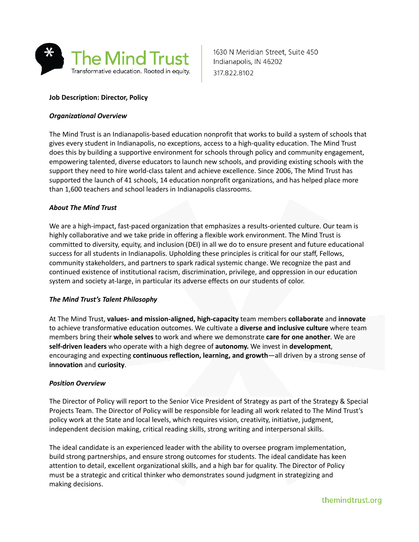

1630 N Meridian Street, Suite 450 Indianapolis, IN 46202 317.822.8102

# **Job Description: Director, Policy**

### *Organizational Overview*

The Mind Trust is an Indianapolis-based education nonprofit that works to build a system of schools that gives every student in Indianapolis, no exceptions, access to a high-quality education. The Mind Trust does this by building a supportive environment for schools through policy and community engagement, empowering talented, diverse educators to launch new schools, and providing existing schools with the support they need to hire world-class talent and achieve excellence. Since 2006, The Mind Trust has supported the launch of 41 schools, 14 education nonprofit organizations, and has helped place more than 1,600 teachers and school leaders in Indianapolis classrooms.

### *About The Mind Trust*

We are a high-impact, fast-paced organization that emphasizes a results-oriented culture. Our team is highly collaborative and we take pride in offering a flexible work environment. The Mind Trust is committed to diversity, equity, and inclusion (DEI) in all we do to ensure present and future educational success for all students in Indianapolis. Upholding these principles is critical for our staff, Fellows, community stakeholders, and partners to spark radical systemic change. We recognize the past and continued existence of institutional racism, discrimination, privilege, and oppression in our education system and society at-large, in particular its adverse effects on our students of color.

#### *The Mind Trust's Talent Philosophy*

At The Mind Trust, **values- and mission-aligned, high-capacity** team members **collaborate** and **innovate** to achieve transformative education outcomes. We cultivate a **diverse and inclusive culture** where team members bring their **whole selves** to work and where we demonstrate **care for one another**. We are **self-driven leaders** who operate with a high degree of **autonomy.** We invest in **development**, encouraging and expecting **continuous reflection, learning, and growth**—all driven by a strong sense of **innovation** and **curiosity**.

#### *Position Overview*

The Director of Policy will report to the Senior Vice President of Strategy as part of the Strategy & Special Projects Team. The Director of Policy will be responsible for leading all work related to The Mind Trust's policy work at the State and local levels, which requires vision, creativity, initiative, judgment, independent decision making, critical reading skills, strong writing and interpersonal skills.

The ideal candidate is an experienced leader with the ability to oversee program implementation, build strong partnerships, and ensure strong outcomes for students. The ideal candidate has keen attention to detail, excellent organizational skills, and a high bar for quality. The Director of Policy must be a strategic and critical thinker who demonstrates sound judgment in strategizing and making decisions.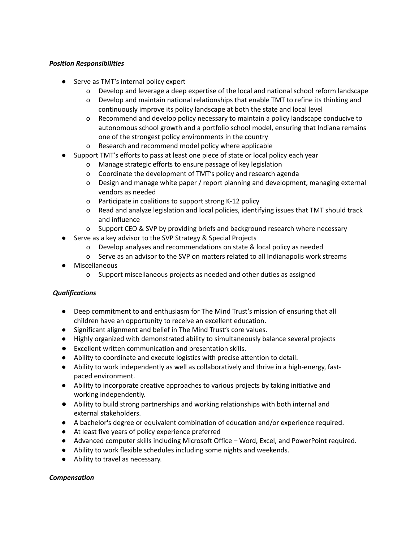## *Position Responsibilities*

- Serve as TMT's internal policy expert
	- o Develop and leverage a deep expertise of the local and national school reform landscape
	- o Develop and maintain national relationships that enable TMT to refine its thinking and continuously improve its policy landscape at both the state and local level
	- o Recommend and develop policy necessary to maintain a policy landscape conducive to autonomous school growth and a portfolio school model, ensuring that Indiana remains one of the strongest policy environments in the country
	- o Research and recommend model policy where applicable
- Support TMT's efforts to pass at least one piece of state or local policy each year
	- o Manage strategic efforts to ensure passage of key legislation
	- o Coordinate the development of TMT's policy and research agenda
	- o Design and manage white paper / report planning and development, managing external vendors as needed
	- o Participate in coalitions to support strong K-12 policy
	- o Read and analyze legislation and local policies, identifying issues that TMT should track and influence
	- o Support CEO & SVP by providing briefs and background research where necessary
- Serve as a key advisor to the SVP Strategy & Special Projects
	- o Develop analyses and recommendations on state & local policy as needed
	- o Serve as an advisor to the SVP on matters related to all Indianapolis work streams
- **Miscellaneous** 
	- o Support miscellaneous projects as needed and other duties as assigned

## *Qualifications*

- Deep commitment to and enthusiasm for The Mind Trust's mission of ensuring that all children have an opportunity to receive an excellent education.
- Significant alignment and belief in The Mind Trust's core values.
- Highly organized with demonstrated ability to simultaneously balance several projects
- Excellent written communication and presentation skills.
- Ability to coordinate and execute logistics with precise attention to detail.
- Ability to work independently as well as collaboratively and thrive in a high-energy, fastpaced environment.
- Ability to incorporate creative approaches to various projects by taking initiative and working independently.
- Ability to build strong partnerships and working relationships with both internal and external stakeholders.
- A bachelor's degree or equivalent combination of education and/or experience required.
- At least five years of policy experience preferred
- Advanced computer skills including Microsoft Office Word, Excel, and PowerPoint required.
- Ability to work flexible schedules including some nights and weekends.
- Ability to travel as necessary.

## *Compensation*